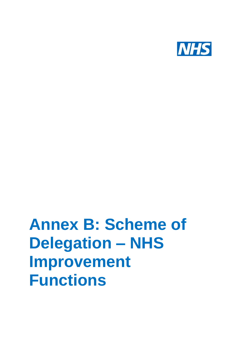

# **Annex B: Scheme of Delegation – NHS Improvement Functions**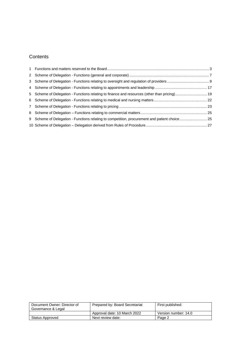### **Contents**

| 5 Scheme of Delegation - Functions relating to finance and resources (other than pricing) 19 |  |
|----------------------------------------------------------------------------------------------|--|
|                                                                                              |  |
|                                                                                              |  |
|                                                                                              |  |
|                                                                                              |  |
|                                                                                              |  |

| Document Owner: Director of<br>Governance & Legal | Prepared by: Board Secretariat | First published:     |
|---------------------------------------------------|--------------------------------|----------------------|
|                                                   | Approval date: 10 March 2022   | Version number: 14.0 |
| Status Approved                                   | Next review date:              | Page 2               |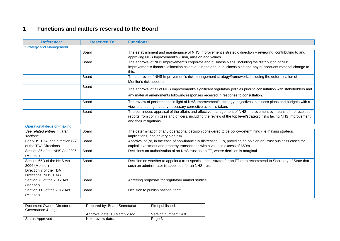## **1 Functions and matters reserved to the Board**

| <b>Reference:</b>                                                                              | <b>Reserved To:</b> | <b>Functions:</b>                                                                                                                                                                                                                                              |
|------------------------------------------------------------------------------------------------|---------------------|----------------------------------------------------------------------------------------------------------------------------------------------------------------------------------------------------------------------------------------------------------------|
| <b>Strategy and Management</b>                                                                 |                     |                                                                                                                                                                                                                                                                |
|                                                                                                | Board               | The establishment and maintenance of NHS Improvement's strategic direction - reviewing, contributing to and<br>approving NHS Improvement's vision, mission and values.                                                                                         |
|                                                                                                | <b>Board</b>        | The approval of NHS Improvement's corporate and business plans, including the distribution of NHS<br>Improvement's financial allocation as set out in the annual business plan and any subsequent material change to<br>this.                                  |
|                                                                                                | Board               | The approval of NHS Improvement's risk management strategy/framework, including the determination of<br>Monitor's risk appetite.                                                                                                                               |
|                                                                                                | Board               | The approval of all of NHS Improvement's significant regulatory policies prior to consultation with stakeholders and                                                                                                                                           |
|                                                                                                |                     | any material amendments following responses received in response to consultation.                                                                                                                                                                              |
|                                                                                                | Board               | The review of performance in light of NHS Improvement's strategy, objectives, business plans and budgets with a<br>view to ensuring that any necessary corrective action is taken.                                                                             |
|                                                                                                | Board               | The continuous appraisal of the affairs and effective management of NHS Improvement by means of the receipt of<br>reports from committees and officers, including the review of the top level/strategic risks facing NHS Improvement<br>and their mitigations. |
| <b>Operational decision-making</b>                                                             |                     |                                                                                                                                                                                                                                                                |
| See related entries in later<br>sections                                                       | <b>Board</b>        | The determination of any operational decision considered to be policy-determining (i.e. having strategic<br>implications) and/or very high risk.                                                                                                               |
| For NHS TDA, see direction 6(k)<br>of the TDA Directions                                       | Board               | Approval of (or, in the case of non-financially distressed FTs, providing an opinion on) trust business cases for<br>capital investment and property transactions with a value in excess of £50m                                                               |
| Section 35 of the NHS Act 2006<br>(Monitor)                                                    | <b>Board</b>        | Decisions on authorisation of an NHS trust as an FT, where decision is marginal                                                                                                                                                                                |
| Section 65D of the NHS Act<br>2006 (Monitor)<br>Direction 7 of the TDA<br>Directions (NHS TDA) | <b>Board</b>        | Decision on whether to appoint a trust special administrator for an FT or to recommend to Secretary of State that<br>such an administrator is appointed for an NHS trust                                                                                       |
| Section 73 of the 2012 Act<br>(Monitor)                                                        | Board               | Agreeing proposals for regulatory market studies                                                                                                                                                                                                               |
| Section 116 of the 2012 Act<br>(Monitor)                                                       | <b>Board</b>        | Decision to publish national tariff                                                                                                                                                                                                                            |

<span id="page-2-0"></span>

| Document Owner: Director of<br>Governance & Legal | Prepared by: Board Secretariat | First published:     |
|---------------------------------------------------|--------------------------------|----------------------|
|                                                   | Approval date: 10 March 2022   | Version number: 14.0 |
| Status Approved                                   | Next review date:              | Page 3               |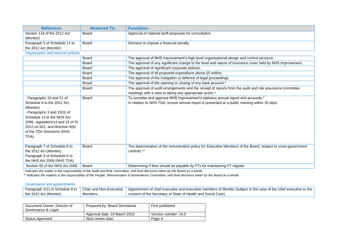| <b>Reference:</b>                                                                                                                                                                                                                              | <b>Reserved To:</b>   | <b>Functions:</b>                                                                                                                                                                                       |
|------------------------------------------------------------------------------------------------------------------------------------------------------------------------------------------------------------------------------------------------|-----------------------|---------------------------------------------------------------------------------------------------------------------------------------------------------------------------------------------------------|
| Section 118 of the 2012 Act<br>(Monitor)                                                                                                                                                                                                       | Board                 | Approval of national tariff proposals for consultation                                                                                                                                                  |
| Paragraph 5 of Schedule 11 to                                                                                                                                                                                                                  | Board                 | Decision to impose a financial penalty                                                                                                                                                                  |
| the 2012 Act (Monitor)                                                                                                                                                                                                                         |                       |                                                                                                                                                                                                         |
| Organisation and internal controls                                                                                                                                                                                                             |                       |                                                                                                                                                                                                         |
|                                                                                                                                                                                                                                                | <b>Board</b>          | The approval of NHS Improvement's high-level organisational design and control structure.                                                                                                               |
|                                                                                                                                                                                                                                                | Board                 | The approval of any significant change to the level and nature of insurance cover held by NHS Improvement.                                                                                              |
|                                                                                                                                                                                                                                                | <b>Board</b>          | The approval of significant corporate policies.                                                                                                                                                         |
|                                                                                                                                                                                                                                                | <b>Board</b>          | The approval of all proposed expenditure above £5 million.                                                                                                                                              |
|                                                                                                                                                                                                                                                | Board                 | The approval of the instigation or defence of legal proceedings.                                                                                                                                        |
|                                                                                                                                                                                                                                                | <b>Board</b>          | The approval of the opening or closing of any bank account.*                                                                                                                                            |
|                                                                                                                                                                                                                                                | Board                 | The approval of audit arrangements and the receipt of reports from the audit and risk assurance committee<br>meetings with a view to taking any appropriate action.*                                    |
| - Paragraphs 19 and 21 of<br>Schedule 8 to the 2012 Act<br>(Monitor)<br>- Paragraphs 3 and 15(3) of<br>Schedule 15 to the NHS Act<br>2006, regulations14 and 15 of SI<br>2012 no 922, and direction 8(b)<br>of the TDA Directions (NHS<br>TDA) | <b>Board</b>          | To consider and approve NHS Improvement's statutory annual report and accounts.*<br>In relation to NHS TDA, ensure annual report is presented at a public meeting within 30 days                        |
| Paragraph 7 of Schedule 8 to<br>the 2012 Act (Monitor)<br>Paragraph 3 of Schedule 6 to<br>the NHS Act 2006 (NHS TDA)<br>Section 50 of the NHS Act 2006                                                                                         | <b>Board</b><br>Board | The determination of the remuneration policy for Executive Members of the Board, subject to cross-government<br>controls.**<br>Determining if fees should be payable by FTs for maintaining FT register |
|                                                                                                                                                                                                                                                |                       |                                                                                                                                                                                                         |

\* *Indicates the matter is the responsibility of the Audit and Risk Committee, with final decisions taken by the Board as a whole.* 

*the \*\* Indicates the matters is the responsibility of the People, Remuneration & Nominations Committee, with final decisions taken by the Board as a whole*

#### Governance and appointments

| Paragraph 2(1) of Schedule 8 to $\sim$ | Chair and Non-Executive | Appointment of chief executive and executive members of Monitor (subject in the case of the chief executive to the |
|----------------------------------------|-------------------------|--------------------------------------------------------------------------------------------------------------------|
| the 2012 Act (Monitor)                 | Members                 | consent of the Secretary of State of Health and Social Care)                                                       |

| Document Owner: Director of<br>Governance & Legal | Prepared by: Board Secretariat | First published:     |
|---------------------------------------------------|--------------------------------|----------------------|
|                                                   | Approval date: 10 March 2022   | Version number: 14.0 |
| Status Approved                                   | Next review date:              | Page 4               |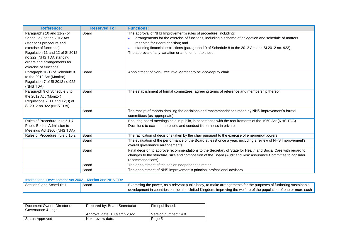| <b>Reference:</b>               | <b>Reserved To:</b> | <b>Functions:</b>                                                                                              |
|---------------------------------|---------------------|----------------------------------------------------------------------------------------------------------------|
| Paragraphs 10 and 11(2) of      | <b>Board</b>        | The approval of NHS Improvement's rules of procedure, including:                                               |
| Schedule 8 to the 2012 Act      |                     | arrangements for the exercise of functions, including a scheme of delegation and schedule of matters           |
| (Monitor's procedure and        |                     | reserved for Board decision; and                                                                               |
| exercise of functions)          |                     | standing financial instructions (paragraph 10 of Schedule 8 to the 2012 Act and SI 2012 no. 922),<br>$\bullet$ |
| Regulation 11 and 12 of SI 2012 |                     | The approval of any variation or amendment to these.                                                           |
| no 222 (NHS TDA standing        |                     |                                                                                                                |
| orders and arrangements for     |                     |                                                                                                                |
| exercise of functions)          |                     |                                                                                                                |
| Paragraph 10(1) of Schedule 8   | Board               | Appointment of Non-Executive Member to be vice/deputy chair                                                    |
| to the 2012 Act (Monitor)       |                     |                                                                                                                |
| Regulation 7 of SI 2012 no 922  |                     |                                                                                                                |
| (NHS TDA)                       |                     |                                                                                                                |
| Paragraph 9 of Schedule 8 to    | <b>Board</b>        | The establishment of formal committees, agreeing terms of reference and membership thereof                     |
| the 2012 Act (Monitor)          |                     |                                                                                                                |
| Regulations 7, 11 and 12(3) of  |                     |                                                                                                                |
| SI 2012 no 922 (NHS TDA)        |                     |                                                                                                                |
|                                 | <b>Board</b>        | The receipt of reports detailing the decisions and recommendations made by NHS Improvement's formal            |
|                                 |                     | committees (as appropriate)                                                                                    |
| Rules of Procedure, rule 5.1.7  |                     | Ensuring board meetings held in public, in accordance with the requirements of the 1960 Act (NHS TDA)          |
| Public Bodies Admission to      |                     | Decisions to exclude the public and conduct its business in private                                            |
| Meetings Act 1960 (NHS TDA)     |                     |                                                                                                                |
| Rules of Procedure, rule 5.10.2 | Board               | The ratification of decisions taken by the chair pursuant to the exercise of emergency powers.                 |
|                                 | Board               | The evaluation of the performance of the Board at least once a year, including a review of NHS Improvement's   |
|                                 |                     | overall governance arrangements                                                                                |
|                                 | Board               | Final decision to approve recommendations to the Secretary of State for Health and Social Care with regard to  |
|                                 |                     | changes to the structure, size and composition of the Board (Audit and Risk Assurance Committee to consider    |
|                                 |                     | recommendations)                                                                                               |
|                                 | <b>Board</b>        | The appointment of the senior independent director                                                             |
|                                 | <b>Board</b>        | The appointment of NHS Improvement's principal professional advisers                                           |

#### International Development Act 2002 – Monitor and NHS TDA

| Section 9 and Schedule 1 | Board | Exercising the power, as a relevant public body, to make arrangements for the purposes of furthering sustainable   |
|--------------------------|-------|--------------------------------------------------------------------------------------------------------------------|
|                          |       | ' development in countries outside the United Kingdom; improving the welfare of the population of one or more such |

| Document Owner: Director of<br>Governance & Legal | Prepared by: Board Secretariat | First published:     |
|---------------------------------------------------|--------------------------------|----------------------|
|                                                   | Approval date: 10 March 2022   | Version number: 14.0 |
| Status Approved                                   | Next review date:              | Page 5               |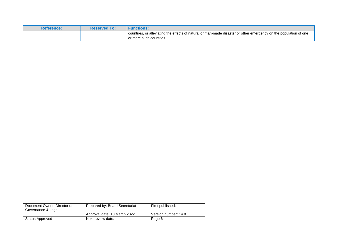| <b>Reference:</b> | <b>Reserved To:</b> | <b>Functions:</b>                                                                                                                           |
|-------------------|---------------------|---------------------------------------------------------------------------------------------------------------------------------------------|
|                   |                     | countries, or alleviating the effects of natural or man-made disaster or other emergency on the population of one<br>or more such countries |

| Document Owner: Director of<br>Governance & Legal | Prepared by: Board Secretariat | First published:     |
|---------------------------------------------------|--------------------------------|----------------------|
|                                                   | Approval date: 10 March 2022   | Version number: 14.0 |
| Status Approved                                   | Next review date:              | Page 6               |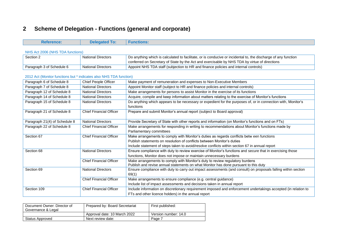# **2 Scheme of Delegation - Functions (general and corporate)**

| <b>Reference:</b>                                                  | <b>Delegated To:</b>           | <b>Functions:</b>                                                                                              |
|--------------------------------------------------------------------|--------------------------------|----------------------------------------------------------------------------------------------------------------|
|                                                                    |                                |                                                                                                                |
| NHS Act 2006 (NHS TDA functions)                                   |                                |                                                                                                                |
| Section 2                                                          | <b>National Directors</b>      | Do anything which is calculated to facilitate, or is conducive or incidental to, the discharge of any function |
|                                                                    |                                | conferred on Secretary of State by the Act and exercisable by NHS TDA by virtue of directions                  |
| Paragraph 3 of Schedule 6                                          | <b>National Directors</b>      | Appoint NHS TDA staff (subjection to HR and finance policies and internal controls)                            |
| 2012 Act (Monitor functions but * indicates also NHS TDA function) |                                |                                                                                                                |
| Paragraph 6 of Schedule 8                                          | <b>Chief People Officer</b>    | Make payment of remuneration and expenses to Non-Executive Members                                             |
| Paragraph 7 of Schedule 8                                          | <b>National Directors</b>      | Appoint Monitor staff (subject to HR and finance policies and internal controls)                               |
| Paragraph 12 of Schedule 8                                         | <b>National Directors</b>      | Make arrangements for persons to assist Monitor in the exercise of its functions                               |
| Paragraph 14 of Schedule 8                                         | <b>National Directors</b>      | Acquire, compile and keep information about matters relating to the exercise of Monitor's functions            |
| Paragraph 15 of Schedule 8                                         | <b>National Directors</b>      | Do anything which appears to be necessary or expedient for the purposes of, or in connection with, Monitor's   |
|                                                                    |                                | functions                                                                                                      |
| Paragraph 21 of Schedule 8                                         | <b>Chief Financial Officer</b> | Prepare and submit Monitor's annual report (subject to Board approval)                                         |
|                                                                    |                                |                                                                                                                |
| Paragraph 21(4) of Schedule 8                                      | <b>National Directors</b>      | Provide Secretary of State with other reports and information (on Monitor's functions and on FTs)              |
| Paragraph 22 of Schedule 8                                         | <b>Chief Financial Officer</b> | Make arrangements for responding in writing to recommendations about Monitor's functions made by               |
|                                                                    |                                | Parliamentary committees                                                                                       |
| Section 67                                                         | <b>Chief Financial Officer</b> | Make arrangements to comply with Monitor's duties as regards conflicts betw een functions                      |
|                                                                    |                                | Publish statements on resolution of conflicts between Monitor's duties                                         |
|                                                                    |                                | Include statement of steps taken to avoid/resolve conflicts within section 67 in annual report                 |
| Section 68                                                         | <b>National Directors</b>      | Ensure compliance with duty to review exercise of Monitor's functions and secure that in exercising those      |
|                                                                    |                                | functions, Monitor does not impose or maintain unnecessary burdens                                             |
|                                                                    | <b>Chief Financial Officer</b> | Make arrangements to comply with Monitor's duty to review regulatory burdens                                   |
|                                                                    |                                | Publish and revise annual statements on what Monitor has done pursuant to this duty                            |
| Section 69                                                         | <b>National Directors</b>      | Ensure compliance with duty to carry out impact assessments (and consult) on proposals falling within section  |
|                                                                    |                                | 69(1)                                                                                                          |
|                                                                    | <b>Chief Financial Officer</b> | Make arrangements to ensure compliance (e.g. central guidance)                                                 |
|                                                                    |                                | Include list of impact assessments and decisions taken in annual report                                        |
| Section 109                                                        | <b>Chief Financial Officer</b> | Include information on discretionary requirement imposed and enforcement undertakings accepted (in relation to |
|                                                                    |                                | FTs and other licence holders) in the annual report                                                            |

<span id="page-6-0"></span>

| Document Owner: Director of<br>Governance & Legal | Prepared by: Board Secretariat | First published:     |
|---------------------------------------------------|--------------------------------|----------------------|
|                                                   | Approval date: 10 March 2022   | Version number: 14.0 |
| Status Approved                                   | Next review date:              | Page 7               |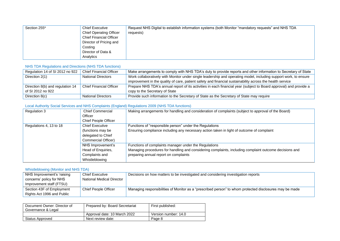| Section 255* | <b>Chief Executive</b><br><b>Chief Operating Officer</b><br><b>Chief Financial Officer</b><br>Director of Pricing and<br>Costing<br>Director of Data & | Request NHS Digital to establish information systems (both Monitor "mandatory requests" and NHS TDA<br>requests) |
|--------------|--------------------------------------------------------------------------------------------------------------------------------------------------------|------------------------------------------------------------------------------------------------------------------|
|              |                                                                                                                                                        |                                                                                                                  |
|              | Analytics                                                                                                                                              |                                                                                                                  |

#### NHS TDA Regulations and Directions (NHS TDA functions)

| Regulation 14 of SI 2012 no 922  | Chief Financial Officer        | Make arrangements to comply with NHS TDA's duty to provide reports and other information to Secretary of State     |
|----------------------------------|--------------------------------|--------------------------------------------------------------------------------------------------------------------|
| Direction 2(1)                   | <b>National Directors</b>      | Work collaboratively with Monitor under single leadership and operating model, including support work, to ensure   |
|                                  |                                | improvement in the quality of care, patient safety and financial sustainability across the health service          |
| Direction 8(b) and regulation 14 | <b>Chief Financial Officer</b> | Prepare NHS TDA's annual report of its activities in each financial year (subject to Board approval) and provide a |
| of SI 2012 no 922                |                                | copy to the Secretary of State                                                                                     |
| Direction 8(c)                   | <b>National Directors</b>      | Provide such information to the Secretary of State as the Secretary of State may require                           |

#### Local Authority Social Services and NHS Complaints (England) Regulations 2009 (NHS TDA functions)

| Regulation 3            | <b>Chief Commercial</b>     | Making arrangements for handling and consideration of complaints (subject to approval of the Board)    |
|-------------------------|-----------------------------|--------------------------------------------------------------------------------------------------------|
|                         | Officer                     |                                                                                                        |
|                         | <b>Chief People Officer</b> |                                                                                                        |
| Regulations 4, 13 to 18 | <b>Chief Executive</b>      | Functions of "responsible person" under the Regulations                                                |
|                         | (functions may be           | Ensuring compliance including any necessary action taken in light of outcome of complaint              |
|                         | delegated to Chief          |                                                                                                        |
|                         | Commercial Officer)         |                                                                                                        |
|                         | NHS Improvement's           | Functions of complaints manager under the Regulations                                                  |
|                         | Head of Enquiries,          | Managing procedures for handling and considering complaints, including complaint outcome decisions and |
|                         | Complaints and              | preparing annual report on complaints                                                                  |
|                         | Whistleblowing              |                                                                                                        |

#### Whistleblowing (Monitor and NHS TDA)

| NHS Improvement's 'raising | <b>Chief Executive</b>    | Decisions on how matters to be investigated and considering investigation reports                       |
|----------------------------|---------------------------|---------------------------------------------------------------------------------------------------------|
| concerns' policy for NHS   | National Medical Director |                                                                                                         |
| Improvement staff (FTSU)   |                           |                                                                                                         |
| Section 43F of Employment  | Chief People Officer      | Managing responsibilities of Monitor as a "prescribed person" to whom protected disclosures may be made |
| Rights Act 1996 and Public |                           |                                                                                                         |

| Document Owner: Director of<br>Governance & Legal | Prepared by: Board Secretariat | First published:     |
|---------------------------------------------------|--------------------------------|----------------------|
|                                                   | Approval date: 10 March 2022   | Version number: 14.0 |
| Status Approved                                   | Next review date:              | Page 8               |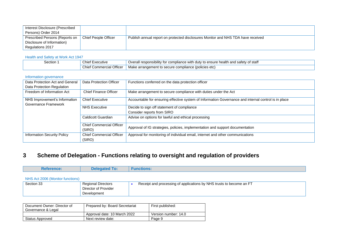| Interest Disclosure (Prescribed |                      |                                                                                  |
|---------------------------------|----------------------|----------------------------------------------------------------------------------|
| Persons) Order 2014             |                      |                                                                                  |
| Prescribed Persons (Reports on  | Chief People Officer | Publish annual report on protected disclosures Monitor and NHS TDA have received |
| Disclosure of Information)      |                      |                                                                                  |
| Regulations 2017                |                      |                                                                                  |

#### Health and Safety at Work Act 1947

| Section | Chief<br>:xecutive                                | Overal<br>satetv<br>⊉ of stafi<br>l responsibilitv<br>' foi<br>ılth and.<br>compliance<br>. \\/It<br>ensure<br>dutv<br>.<br>VV I |
|---------|---------------------------------------------------|----------------------------------------------------------------------------------------------------------------------------------|
|         | Office <sup>®</sup><br>าmercial<br>Chief<br>יוט ט | compliance (policies etc).<br>arrangel<br>,,,,,,<br>uemer<br>iviake<br>. .                                                       |

#### Information governance

| Data Protection Act and General    | Data Protection Officer         | Functions conferred on the data protection officer                                                   |
|------------------------------------|---------------------------------|------------------------------------------------------------------------------------------------------|
| Data Protection Regulation         |                                 |                                                                                                      |
| Freedom of Information Act         | <b>Chief Finance Officer</b>    | Make arrangement to secure compliance with duties under the Act                                      |
| NHS Improvement's Information      | <b>Chief Executive</b>          | Accountable for ensuring effective system of Information Governance and internal control is in place |
| Governance Framework               |                                 |                                                                                                      |
|                                    | <b>NHS Executive</b>            | Decide to sign off statement of compliance                                                           |
|                                    |                                 | Consider reports from SIRO                                                                           |
|                                    | Caldicott Guardian              | Advise on options for lawful and ethical processing                                                  |
|                                    | <b>Chief Commercial Officer</b> | Approval of IG strategies, policies, implementation and support documentation                        |
|                                    | (SIRO)                          |                                                                                                      |
| <b>Information Security Policy</b> | <b>Chief Commercial Officer</b> | Approval for monitoring of individual email, internet and other communications                       |
|                                    | (SIRO)                          |                                                                                                      |

## **3 Scheme of Delegation - Functions relating to oversight and regulation of providers**

| <b>Reference:</b>                | <b>Delegated To:</b>      | <b>Functions:</b>                                                    |
|----------------------------------|---------------------------|----------------------------------------------------------------------|
| NHS Act 2006 (Monitor functions) |                           |                                                                      |
| Section 33                       | <b>Regional Directors</b> | Receipt and processing of applications by NHS trusts to become an FT |

| Section 33 | Regional Directors   | Receipt and processing of applications by NHS trusts to become an FT |
|------------|----------------------|----------------------------------------------------------------------|
|            | Director of Provider |                                                                      |
|            | Development          |                                                                      |

<span id="page-8-0"></span>

| Document Owner: Director of<br>Governance & Legal | Prepared by: Board Secretariat | First published:     |
|---------------------------------------------------|--------------------------------|----------------------|
|                                                   | Approval date: 10 March 2022   | Version number: 14.0 |
| Status Approved                                   | Next review date:              | Page 9               |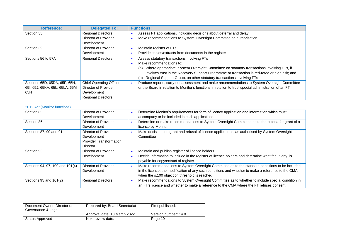| <b>Reference:</b>              | <b>Delegated To:</b>           | <b>Functions:</b>                                                                                    |
|--------------------------------|--------------------------------|------------------------------------------------------------------------------------------------------|
| Section 35                     | <b>Regional Directors</b>      | Assess FT applications, including decisions about deferral and delay                                 |
|                                | Director of Provider           | Make recommendations to System Oversight Committee on authorisation                                  |
|                                | Development                    |                                                                                                      |
| Section 39                     | Director of Provider           | Maintain register of FTs                                                                             |
|                                | Development                    | Provide copies/extracts from documents in the register                                               |
| Sections 56 to 57A             | <b>Regional Directors</b>      | Assess statutory transactions involving FTs                                                          |
|                                |                                | Make recommendations to:                                                                             |
|                                |                                | Where appropriate, System Oversight Committee on statutory transactions involving FTs, if<br>(a)     |
|                                |                                | involves trust in the Recovery Support Programme or transaction is red-rated or high risk; and       |
|                                |                                | Regional Support Group, on other statutory transactions involving FTs<br>(b)                         |
| Sections 65D, 65DA, 65F, 65H,  | <b>Chief Operating Officer</b> | Produce reports, carry out assessment and make recommendations to System Oversight Committee         |
| 65I, 65J, 65KA, 65L, 65LA, 65M | Director of Provider           | or the Board in relation to Monitor's functions in relation to trust special administration of an FT |
| 65N                            | Development                    |                                                                                                      |
|                                | <b>Regional Directors</b>      |                                                                                                      |

#### 2012 Act (Monitor functions)

| Section 85                      | <b>Director of Provider</b>    | Determine Monitor's requirements for form of licence application and information which must         |
|---------------------------------|--------------------------------|-----------------------------------------------------------------------------------------------------|
|                                 | Development                    | accompany or be included in such applications                                                       |
| Section 86                      | Director of Provider           | Determine or make recommendations to System Oversight Committee as to the criteria for grant of a   |
|                                 | Development                    | licence by Monitor                                                                                  |
| Sections 87, 90 and 91          | Director of Provider           | Make decisions on grant and refusal of licence applications, as authorised by System Oversight      |
|                                 | Development                    | Committee                                                                                           |
|                                 | <b>Provider Transformation</b> |                                                                                                     |
|                                 | <b>Director</b>                |                                                                                                     |
| Section 93                      | Director of Provider           | Maintain and publish register of licence holders                                                    |
|                                 | Development                    | Decide information to include in the register of licence holders and determine what fee, if any, is |
|                                 |                                | payable for copy/extract of register                                                                |
| Sections 94, 97, 100 and 101(4) | Director of Provider           | Make recommendations to System Oversight Committee as to the standard conditions to be included     |
|                                 | Development                    | in the licence, the modification of any such conditions and whether to make a reference to the CMA  |
|                                 |                                | when the s.100 objection threshold is reached                                                       |
| Sections 95 and 101(2)          | <b>Regional Directors</b>      | Make recommendations to System Oversight Committee as to whether to include special condition in    |
|                                 |                                | an FT's licence and whether to make a reference to the CMA where the FT refuses consent             |

| Document Owner: Director of<br>Governance & Legal | Prepared by: Board Secretariat | First published:     |
|---------------------------------------------------|--------------------------------|----------------------|
|                                                   | Approval date: 10 March 2022   | Version number: 14.0 |
| Status Approved                                   | Next review date:              | Page 10              |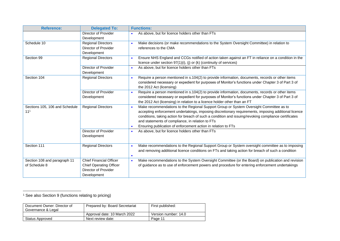| <b>Reference:</b>                                 | <b>Delegated To:</b>                                                                                    | <b>Functions:</b>                                                                                                                                                                                                                                                                                                                                                                                                            |
|---------------------------------------------------|---------------------------------------------------------------------------------------------------------|------------------------------------------------------------------------------------------------------------------------------------------------------------------------------------------------------------------------------------------------------------------------------------------------------------------------------------------------------------------------------------------------------------------------------|
|                                                   | Director of Provider<br>Development                                                                     | As above, but for licence holders other than FTs                                                                                                                                                                                                                                                                                                                                                                             |
| Schedule 10                                       | <b>Regional Directors</b><br>Director of Provider<br>Development                                        | Make decisions (or make recommendations to the System Oversight Committee) in relation to<br>references to the CMA                                                                                                                                                                                                                                                                                                           |
| Section 99                                        | <b>Regional Directors</b>                                                                               | Ensure NHS England and CCGs notified of action taken against an FT in reliance on a condition in the<br>licence under section 97(1)(i), (j) or (k) (continuity of services)                                                                                                                                                                                                                                                  |
|                                                   | <b>Director of Provider</b><br>Development                                                              | As above, but for licence holders other than FTs<br>$\bullet$                                                                                                                                                                                                                                                                                                                                                                |
| Section 104                                       | <b>Regional Directors</b>                                                                               | Require a person mentioned in s.104(2) to provide information, documents, records or other items<br>$\bullet$<br>considered necessary or expedient for purposes of Monitor's functions under Chapter 3 of Part 3 of<br>the 2012 Act (licensing)                                                                                                                                                                              |
|                                                   | <b>Director of Provider</b><br>Development                                                              | Require a person mentioned in s.104(2) to provide information, documents, records or other items<br>considered necessary or expedient for purposes of Monitor's functions under Chapter 3 of Part 3 of<br>the 2012 Act (licensing) in relation to a licence holder other than an FT                                                                                                                                          |
| Sections 105, 106 and Schedule<br>11 <sup>1</sup> | <b>Regional Directors</b>                                                                               | Make recommendations to the Regional Support Group or System Oversight Committee as to<br>accepting enforcement undertakings, imposing discretionary requirements, imposing additional licence<br>conditions, taking action for breach of such a condition and issuing/revoking compliance certificates<br>and statements of compliance, in relation to FTs<br>Ensuring publication of enforcement action in relation to FTs |
|                                                   | <b>Director of Provider</b><br>Development                                                              | As above, but for licence holders other than FTs<br>$\bullet$                                                                                                                                                                                                                                                                                                                                                                |
| Section 111                                       | <b>Regional Directors</b>                                                                               | Make recommendations to the Regional Support Group or System oversight committee as to imposing<br>and removing additional licence conditions on FTs and taking action for breach of such a condition<br>$\bullet$                                                                                                                                                                                                           |
| Section 108 and paragraph 11<br>of Schedule 8     | <b>Chief Financial Officer</b><br><b>Chief Operating Officer</b><br>Director of Provider<br>Development | Make recommendations to the System Oversight Committee (or the Board) on publication and revision<br>$\bullet$<br>of guidance as to use of enforcement powers and procedure for entering enforcement undertakings                                                                                                                                                                                                            |

<sup>&</sup>lt;sup>1</sup> See also Section 9 (functions relating to pricing)

| Document Owner: Director of<br>Governance & Legal | Prepared by: Board Secretariat | First published:     |
|---------------------------------------------------|--------------------------------|----------------------|
|                                                   | Approval date: 10 March 2022   | Version number: 14.0 |
| Status Approved                                   | Next review date:              | Page 11              |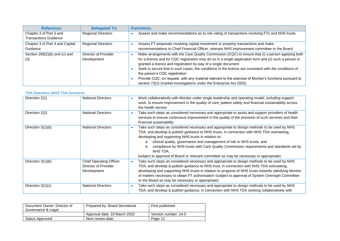| <b>Reference:</b>                                       | <b>Delegated To:</b>                | <b>Functions:</b>                                                                                                                                                                                                                                                                                                                                                                                                                                                                                                                                                                                           |
|---------------------------------------------------------|-------------------------------------|-------------------------------------------------------------------------------------------------------------------------------------------------------------------------------------------------------------------------------------------------------------------------------------------------------------------------------------------------------------------------------------------------------------------------------------------------------------------------------------------------------------------------------------------------------------------------------------------------------------|
| Chapter 3 of Part 3 and<br><b>Transactions Guidance</b> | <b>Regional Directors</b>           | Assess and make recommendations as to risk-rating of transactions involving FTs and NHS trusts                                                                                                                                                                                                                                                                                                                                                                                                                                                                                                              |
| Chapter 3 of Part 3 and Capital<br>Guidance             | <b>Regional Directors</b>           | Assess FT proposals involving capital investment or property transactions and make<br>recommendations to Chief Financial Officer, relevant NHS Improvement committee or the Board                                                                                                                                                                                                                                                                                                                                                                                                                           |
| Section $288(2)(b)$ and (c) and<br>(3)                  | Director of Provider<br>Development | Make arrangements with the Care Quality Commission (CQC) to ensure that (i) a person applying both<br>for a licence and for CQC registration may do so in a single application form and (ii) such a person is<br>granted a licence and registration by way of a single document<br>Seek to secure that in such cases, the conditions in the licence are consistent with the conditions of<br>the person's CQC registration<br>Provide CQC, on request, with any material relevant to the exercise of Monitor's functions pursuant to<br>section 73(2) (market investigations under the Enterprise Act 2002) |

#### TDA Directions (NHS TDA functions)

| Direction 2(1)      | <b>National Directors</b>                                             | Work collaboratively with Monitor under single leadership and operating model, including support<br>work, to ensure improvement in the quality of care, patient safety and financial sustainability across<br>the health service                                                                                                                                                                                                                                                                                                         |
|---------------------|-----------------------------------------------------------------------|------------------------------------------------------------------------------------------------------------------------------------------------------------------------------------------------------------------------------------------------------------------------------------------------------------------------------------------------------------------------------------------------------------------------------------------------------------------------------------------------------------------------------------------|
| Direction 2(2)      | <b>National Directors</b>                                             | Take such steps as considered necessary and appropriate to assist and support providers of health<br>services to ensure continuous improvement in the quality of the provision of such services and their<br>financial sustainability                                                                                                                                                                                                                                                                                                    |
| Direction $3(1)(b)$ | <b>National Directors</b>                                             | Take such steps as considered necessary and appropriate to design methods to be used by NHS<br>TDA, and develop & publish guidance to NHS trusts, in connection with NHS TDA overseeing,<br>developing and supporting NHS trusts in relation to:<br>clinical quality, governance and management of risk in NHS trusts; and<br>а.<br>compliance by NHS trusts with Care Quality Commission requirements and standards set by<br>b.<br>NHS TDA.<br>(subject to approval of Board or relevant committee as may be necessary or appropriate) |
| Direction $3(1)(b)$ | <b>Chief Operating Officer</b><br>Director of Provider<br>Development | Take such steps as considered necessary and appropriate to design methods to be used by NHS<br>TDA, and develop & publish guidance to NHS trust, in connection with NHS TDA overseeing,<br>developing and supporting NHS trusts in relation to progress of NHS trusts towards satisfying Monitor<br>of matters necessary to obtain FT authorisation (subject to approval of System Oversight Committee<br>or the Board as may be necessary or appropriate)                                                                               |
| Direction $3(1)(c)$ | <b>National Directors</b>                                             | Take such steps as considered necessary and appropriate to design methods to be used by NHS<br>TDA, and develop & publish guidance, in connection with NHS TDA working collaboratively with                                                                                                                                                                                                                                                                                                                                              |

| Document Owner: Director of<br>Governance & Legal | Prepared by: Board Secretariat | First published:     |
|---------------------------------------------------|--------------------------------|----------------------|
|                                                   | Approval date: 10 March 2022   | Version number: 14.0 |
| Status Approved                                   | Next review date:              | Page 12              |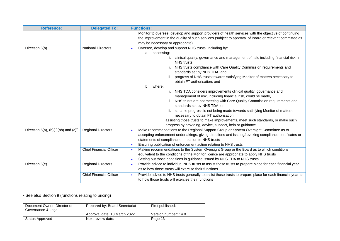| <b>Reference:</b>                                   | <b>Delegated To:</b>           | <b>Functions:</b>                                                                                                                                                                                               |
|-----------------------------------------------------|--------------------------------|-----------------------------------------------------------------------------------------------------------------------------------------------------------------------------------------------------------------|
|                                                     |                                | Monitor to oversee, develop and support providers of health services with the objective of continuing<br>the improvement in the quality of such services (subject to approval of Board or relevant committee as |
|                                                     |                                | may be necessary or appropriate)                                                                                                                                                                                |
| Direction 6(b)                                      | <b>National Directors</b>      | Oversee, develop and support NHS trusts, including by:                                                                                                                                                          |
|                                                     |                                | a. assessing:                                                                                                                                                                                                   |
|                                                     |                                | clinical quality, governance and management of risk, including financial risk, in<br>NHS trusts,                                                                                                                |
|                                                     |                                | ii. NHS trusts compliance with Care Quality Commission requirements and<br>standards set by NHS TDA, and                                                                                                        |
|                                                     |                                | iii. progress of NHS trusts towards satisfying Monitor of matters necessary to<br>obtain FT authorisation; and                                                                                                  |
|                                                     |                                | where:<br>b.                                                                                                                                                                                                    |
|                                                     |                                | i. NHS TDA considers improvements clinical quality, governance and<br>management of risk, including financial risk, could be made,                                                                              |
|                                                     |                                | ii. NHS trusts are not meeting with Care Quality Commission requirements and<br>standards set by NHS TDA, or                                                                                                    |
|                                                     |                                | iii. suitable progress is not being made towards satisfying Monitor of matters<br>necessary to obtain FT authorisation,                                                                                         |
|                                                     |                                | assisting those trusts to make improvements, meet such standards, or make such<br>progress by providing, advice, support, help or guidance                                                                      |
| Direction $6(a)$ , (b)(ii)(bb) and (c) <sup>2</sup> | <b>Regional Directors</b>      | Make recommendations to the Regional Support Group or System Oversight Committee as to                                                                                                                          |
|                                                     |                                | accepting enforcement undertakings, giving directions and issuing/revoking compliance certificates or                                                                                                           |
|                                                     |                                | statements of compliance, in relation to NHS trusts                                                                                                                                                             |
|                                                     |                                | Ensuring publication of enforcement action relating to NHS trusts<br>$\bullet$                                                                                                                                  |
|                                                     | <b>Chief Financial Officer</b> | Making recommendations to the System Oversight Group or the Board as to which conditions                                                                                                                        |
|                                                     |                                | equivalent to the conditions of the Monitor licence are appropriate to apply NHS trusts                                                                                                                         |
|                                                     |                                | Setting out those conditions in guidance issued by NHS TDA to NHS trusts<br>$\bullet$                                                                                                                           |
| Direction 6(e)                                      | <b>Regional Directors</b>      | Provide advice to individual NHS trusts to assist those trusts to prepare place for each financial year<br>$\bullet$                                                                                            |
|                                                     |                                | as to how those trusts will exercise their functions                                                                                                                                                            |
|                                                     | <b>Chief Financial Officer</b> | Provide advice to NHS trusts generally to assist those trusts to prepare place for each financial year as                                                                                                       |
|                                                     |                                | to how those trusts will exercise their functions                                                                                                                                                               |

## <sup>2</sup> See also Section 9 (functions relating to pricing)

| Document Owner: Director of<br>Governance & Legal | Prepared by: Board Secretariat | First published:     |
|---------------------------------------------------|--------------------------------|----------------------|
|                                                   | Approval date: 10 March 2022   | Version number: 14.0 |
| Status Approved                                   | Next review date:              | Page 13              |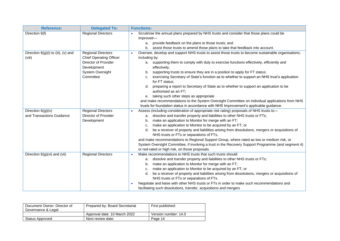| <b>Reference:</b>                               | <b>Delegated To:</b>                                                                                                                       | <b>Functions:</b>                                                                                                                                                                                                                                                                                                                                                                                                                                                                                                                                                                                                                                                                                                          |
|-------------------------------------------------|--------------------------------------------------------------------------------------------------------------------------------------------|----------------------------------------------------------------------------------------------------------------------------------------------------------------------------------------------------------------------------------------------------------------------------------------------------------------------------------------------------------------------------------------------------------------------------------------------------------------------------------------------------------------------------------------------------------------------------------------------------------------------------------------------------------------------------------------------------------------------------|
| Direction 6(f)                                  | <b>Regional Directors</b>                                                                                                                  | Scrutinise the annual plans prepared by NHS trusts and consider that those plans could be<br>improved-                                                                                                                                                                                                                                                                                                                                                                                                                                                                                                                                                                                                                     |
|                                                 |                                                                                                                                            | provide feedback on the plans to those trusts; and<br>a.                                                                                                                                                                                                                                                                                                                                                                                                                                                                                                                                                                                                                                                                   |
|                                                 |                                                                                                                                            | assist those trusts to amend those plans to take that feedback into account.<br>b.                                                                                                                                                                                                                                                                                                                                                                                                                                                                                                                                                                                                                                         |
| Direction $6(g)(i)$ to (iii), (v) and<br>(viii) | <b>Regional Directors</b><br><b>Chief Operating Officer</b><br><b>Director of Provider</b><br>Development<br>System Oversight<br>Committee | Oversee, develop and support NHS trusts to assist those trusts to become sustainable organisations,<br>including by:<br>supporting them to comply with duty to exercise functions effectively, efficiently and<br>а.<br>effectively,<br>supporting trusts to ensure they are in a position to apply for FT status;<br>b.<br>exercising Secretary of State's function as to whether to support an NHS trust's application<br>c.<br>for FT status;<br>preparing a report to Secretary of State as to whether to support an application to be<br>d.<br>authorised as an FT;<br>taking such other steps as appropriate<br>е.<br>and make recommendations to the System Oversight Committee on individual applications from NHS |
|                                                 |                                                                                                                                            | trusts for foundation status in accordance with NHS Improvement's applicable guidance.                                                                                                                                                                                                                                                                                                                                                                                                                                                                                                                                                                                                                                     |
| Direction 6(g)(iv)                              | <b>Regional Directors</b>                                                                                                                  | Assess (including consideration of appropriate risk rating) proposals of NHS trusts to-                                                                                                                                                                                                                                                                                                                                                                                                                                                                                                                                                                                                                                    |
| and Transactions Guidance                       | Director of Provider                                                                                                                       | dissolve and transfer property and liabilities to other NHS trusts or FTs;<br>a.<br>make an application to Monitor for merge with an FT;                                                                                                                                                                                                                                                                                                                                                                                                                                                                                                                                                                                   |
|                                                 | Development                                                                                                                                | b.<br>make an application to Monitor to be acquired by an FT; or<br>c.                                                                                                                                                                                                                                                                                                                                                                                                                                                                                                                                                                                                                                                     |
|                                                 |                                                                                                                                            | be a receiver of property and liabilities arising from dissolutions, mergers or acquisitions of<br>d.                                                                                                                                                                                                                                                                                                                                                                                                                                                                                                                                                                                                                      |
|                                                 |                                                                                                                                            | NHS trusts or FTs or separations of FTs,                                                                                                                                                                                                                                                                                                                                                                                                                                                                                                                                                                                                                                                                                   |
|                                                 |                                                                                                                                            | and make recommendations to Regional Support Group, where rated as low or medium risk, or<br>System Oversight Committee, if involving a trust in the Recovery Support Programme (and segment 4)<br>or red-rated or high risk, on those proposals                                                                                                                                                                                                                                                                                                                                                                                                                                                                           |
| Direction 6(g)(vi) and (vii)                    | <b>Regional Directors</b>                                                                                                                  | Make recommendations to NHS trusts that such trusts should:<br>$\bullet$                                                                                                                                                                                                                                                                                                                                                                                                                                                                                                                                                                                                                                                   |
|                                                 |                                                                                                                                            | dissolve and transfer property and liabilities to other NHS trusts or FTs;<br>a.                                                                                                                                                                                                                                                                                                                                                                                                                                                                                                                                                                                                                                           |
|                                                 |                                                                                                                                            | make an application to Monitor for merge with an FT;<br>b.                                                                                                                                                                                                                                                                                                                                                                                                                                                                                                                                                                                                                                                                 |
|                                                 |                                                                                                                                            | make an application to Monitor to be acquired by an FT; or<br>c.                                                                                                                                                                                                                                                                                                                                                                                                                                                                                                                                                                                                                                                           |
|                                                 |                                                                                                                                            | be a receiver of property and liabilities arising from dissolutions, mergers or acquisitions of<br>d.                                                                                                                                                                                                                                                                                                                                                                                                                                                                                                                                                                                                                      |
|                                                 |                                                                                                                                            | NHS trusts or FTs or separations of FTs.                                                                                                                                                                                                                                                                                                                                                                                                                                                                                                                                                                                                                                                                                   |
|                                                 |                                                                                                                                            | Negotiate and liaise with other NHS trusts or FTs in order to make such recommendations and<br>facilitating such dissolutions, transfer, acquisitions and mergers                                                                                                                                                                                                                                                                                                                                                                                                                                                                                                                                                          |

| Document Owner: Director of<br>Governance & Legal | Prepared by: Board Secretariat | First published:     |
|---------------------------------------------------|--------------------------------|----------------------|
|                                                   | Approval date: 10 March 2022   | Version number: 14.0 |
| Status Approved                                   | Next review date:              | Page 14              |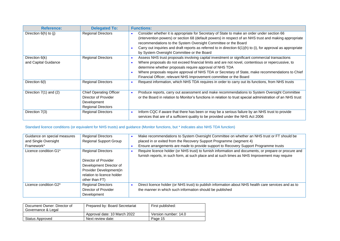| <b>Reference:</b>                      | <b>Delegated To:</b>                                                                               | <b>Functions:</b>                                                                                                                                                                                                                                                                                                                                                                                                                        |
|----------------------------------------|----------------------------------------------------------------------------------------------------|------------------------------------------------------------------------------------------------------------------------------------------------------------------------------------------------------------------------------------------------------------------------------------------------------------------------------------------------------------------------------------------------------------------------------------------|
| Direction $6(h)$ to (j)                | <b>Regional Directors</b>                                                                          | Consider whether it is appropriate for Secretary of State to make an order under section 66<br>(intervention powers) or section 68 (default powers) in respect of an NHS trust and making appropriate<br>recommendations to the System Oversight Committee or the Board<br>Carry out inquiries and draft reports as referred to in direction $6(1)(h)$ to (i), for approval as appropriate<br>by System Oversight Committee or the Board |
| Direction 6(k)<br>and Capital Guidance | <b>Regional Directors</b>                                                                          | Assess NHS trust proposals involving capital investment or significant commercial transactions<br>Where proposals do not exceed financial limits and are not novel, contentious or repercussive, to<br>determine whether proposals require approval of NHS TDA<br>Where proposals require approval of NHS TDA or Secretary of State, make recommendations to Chief<br>Financial Officer, relevant NHS Improvement committee or the Board |
| Direction 6(I)                         | <b>Regional Directors</b>                                                                          | Request information, which NHS TDA requires in order to carry out its functions, from NHS trusts                                                                                                                                                                                                                                                                                                                                         |
| Direction $7(1)$ and $(2)$             | <b>Chief Operating Officer</b><br>Director of Provider<br>Development<br><b>Regional Directors</b> | Produce reports, carry out assessment and make recommendations to System Oversight Committee<br>or the Board in relation to Monitor's functions in relation to trust special administration of an NHS trust                                                                                                                                                                                                                              |
| Direction 7(3)                         | <b>Regional Directors</b>                                                                          | Inform CQC if aware that there has been or may be a serious failure by an NHS trust to provide<br>services that are of a sufficient quality to be provided under the NHS Act 2006                                                                                                                                                                                                                                                        |

#### Standard licence conditions (or equivalent for NHS trusts) and guidance (Monitor functions, but \* indicates also NHS TDA function)

| Guidance on special measures | <b>Regional Directors</b>     | Make recommendations to System Oversight Committee on whether an NHS trust or FT should be            |
|------------------------------|-------------------------------|-------------------------------------------------------------------------------------------------------|
| and Single Oversight         | <b>Regional Support Group</b> | placed in or exited from the Recovery Support Programme (segment 4)                                   |
| Framework*                   |                               | Ensure arrangements are made to provide support to Recovery Support Programme trusts                  |
| Licence condition G1*        | <b>Regional Directors</b>     | Require licence holder (or NHS trust) to furnish information and documents, or prepare or procure and |
|                              |                               | furnish reports, in such form, at such place and at such times as NHS Improvement may require         |
|                              | Director of Provider          |                                                                                                       |
|                              | Development Director of       |                                                                                                       |
|                              | Provider Development(in       |                                                                                                       |
|                              | relation to licence holder    |                                                                                                       |
|                              | other than FT)                |                                                                                                       |
| Licence condition G2*        | <b>Regional Directors</b>     | Direct licence holder (or NHS trust) to publish information about NHS health care services and as to  |
|                              | Director of Provider          | the manner in which such information should be published                                              |
|                              | Development                   |                                                                                                       |

| Document Owner: Director of<br>Governance & Legal | Prepared by: Board Secretariat | First published:     |
|---------------------------------------------------|--------------------------------|----------------------|
|                                                   | Approval date: 10 March 2022   | Version number: 14.0 |
| <b>Status Approved</b>                            | Next review date:              | Page 15              |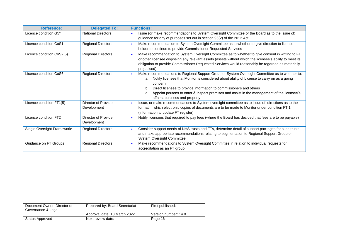| <b>Reference:</b>           | <b>Delegated To:</b>                | <b>Functions:</b>                                                                                                                                                                                                                                                                                                                                                                                                               |
|-----------------------------|-------------------------------------|---------------------------------------------------------------------------------------------------------------------------------------------------------------------------------------------------------------------------------------------------------------------------------------------------------------------------------------------------------------------------------------------------------------------------------|
| Licence condition G5*       | <b>National Directors</b>           | Issue (or make recommendations to System Oversight Committee or the Board as to the issue of)<br>guidance for any of purposes set out in section 96(2) of the 2012 Act                                                                                                                                                                                                                                                          |
| Licence condition CoS1      | <b>Regional Directors</b>           | Make recommendation to System Oversight Committee as to whether to give direction to licence<br>holder to continue to provide Commissioner Requested Services                                                                                                                                                                                                                                                                   |
| Licence condition CoS2(5)   | <b>Regional Directors</b>           | Make recommendation to System Oversight Committee as to whether to give consent in writing to FT<br>or other licensee disposing any relevant assets (assets without which the licensee's ability to meet its<br>obligation to provide Commissioner Requested Services would reasonably be regarded as materially<br>prejudiced)                                                                                                 |
| Licence condition CoS6      | <b>Regional Directors</b>           | Make recommendations to Regional Support Group or System Oversight Committee as to whether to:<br>Notify licensee that Monitor is considered about ability of License to carry on as a going<br>a.<br>concern<br>Direct licensee to provide information to commissioners and others<br>b.<br>Appoint persons to enter & inspect premises and assist in the management of the licensee's<br>c.<br>affairs, business and property |
| Licence condition FT1(5)    | Director of Provider<br>Development | Issue, or make recommendations to System oversight committee as to issue of, directions as to the<br>format in which electronic copies of documents are to be made to Monitor under condition FT 1<br>(information to update FT register)                                                                                                                                                                                       |
| Licence condition FT2       | Director of Provider<br>Development | Notify licensees that required to pay fees (where the Board has decided that fees are to be payable)                                                                                                                                                                                                                                                                                                                            |
| Single Oversight Framework* | <b>Regional Directors</b>           | Consider support needs of NHS trusts and FTs, determine detail of support packages for such trusts<br>and make appropriate recommendations relating to segmentation to Regional Support Group or<br><b>System Oversight Committee</b>                                                                                                                                                                                           |
| Guidance on FT Groups       | <b>Regional Directors</b>           | Make recommendations to System Oversight Committee in relation to individual requests for<br>accreditation as an FT group                                                                                                                                                                                                                                                                                                       |

| Document Owner: Director of<br>Governance & Legal | Prepared by: Board Secretariat | First published:     |
|---------------------------------------------------|--------------------------------|----------------------|
|                                                   | Approval date: 10 March 2022   | Version number: 14.0 |
| Status Approved                                   | Next review date:              | Page 16              |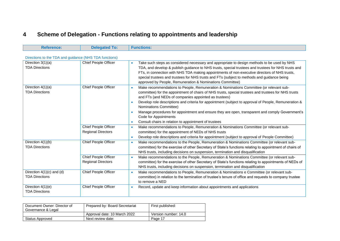# **4 Scheme of Delegation - Functions relating to appointments and leadership**

| <b>Reference:</b>                                      | <b>Delegated To:</b>                              | <b>Functions:</b>                                                                                                                                                                                                                                                                                                                                                                                                                                                                                                                                                                                                       |
|--------------------------------------------------------|---------------------------------------------------|-------------------------------------------------------------------------------------------------------------------------------------------------------------------------------------------------------------------------------------------------------------------------------------------------------------------------------------------------------------------------------------------------------------------------------------------------------------------------------------------------------------------------------------------------------------------------------------------------------------------------|
| Directions to the TDA and guidance (NHS TDA functions) |                                                   |                                                                                                                                                                                                                                                                                                                                                                                                                                                                                                                                                                                                                         |
| Direction 3(1)(a)<br><b>TDA Directions</b>             | <b>Chief People Officer</b>                       | Take such steps as considered necessary and appropriate to design methods to be used by NHS<br>$\bullet$<br>TDA, and develop & publish guidance to NHS trusts, special trustees and trustees for NHS trusts and<br>FTs, in connection with NHS TDA making appointments of non-executive directors of NHS trusts,<br>special trustees and trustees for NHS trusts and FTs (subject to methods and guidance being<br>approved by People, Remuneration & Nominations Committee)                                                                                                                                            |
| Direction 4(1)(a)<br><b>TDA Directions</b>             | Chief People Officer                              | Make recommendations to People, Remuneration & Nominations Committee (or relevant sub-<br>$\bullet$<br>committee) for the appointment of chairs of NHS trusts, special trustees and trustees for NHS trusts<br>and FTs (and NEDs of companies appointed as trustees)<br>Develop role descriptions and criteria for appointment (subject to approval of People, Remuneration &<br>$\epsilon$<br>Nominations Committee)<br>Manage procedures for appointment and ensure they are open, transparent and comply Government's<br>$\bullet$<br>Code for Appointments<br>Consult chairs in relation to appointment of trustees |
|                                                        | Chief People Officer<br><b>Regional Directors</b> | Make recommendations to People, Remuneration & Nominations Committee (or relevant sub-<br>$\bullet$<br>committee) for the appointment of NEDs of NHS trusts<br>Develop role descriptions and criteria for appointment (subject to approval of People Committee)<br>$\bullet$                                                                                                                                                                                                                                                                                                                                            |
| Direction 4(1)(b)<br><b>TDA Directions</b>             | Chief People Officer                              | Make recommendations to the People, Remuneration & Nominations Committee (or relevant sub-<br>committee) for the exercise of other Secretary of State's functions relating to appointment of chairs of<br>NHS trusts, including decisions on suspension, termination and disqualification                                                                                                                                                                                                                                                                                                                               |
|                                                        | Chief People Officer<br><b>Regional Directors</b> | Make recommendations to the People, Remuneration & Nominations Committee (or relevant sub-<br>$\bullet$<br>committee) for the exercise of other Secretary of State's functions relating to appointments of NEDs of<br>NHS trusts, including decisions on suspension, termination and disqualification                                                                                                                                                                                                                                                                                                                   |
| Direction $4(1)(c)$ and $(d)$<br><b>TDA Directions</b> | Chief People Officer                              | Make recommendations to People, Remuneration & Nominations e Committee (or relevant sub-<br>$\bullet$<br>committee) in relation to the termination of trustee's tenure of office and requests to company trustee<br>to remove a NED                                                                                                                                                                                                                                                                                                                                                                                     |
| Direction 4(1)(e)<br><b>TDA Directions</b>             | <b>Chief People Officer</b>                       | Record, update and keep information about appointments and applications<br>$\bullet$                                                                                                                                                                                                                                                                                                                                                                                                                                                                                                                                    |

<span id="page-16-0"></span>

| Document Owner: Director of<br>Governance & Legal | Prepared by: Board Secretariat | First published:     |
|---------------------------------------------------|--------------------------------|----------------------|
|                                                   | Approval date: 10 March 2022   | Version number: 14.0 |
| Status Approved                                   | Next review date:              | Page 17              |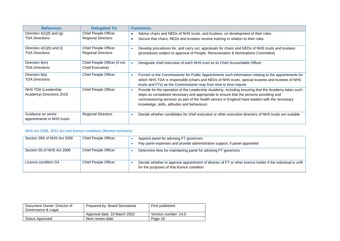| <b>Reference:</b>             | <b>Delegated To:</b>         | <b>Functions:</b>                                                                                                                                                                                                                        |
|-------------------------------|------------------------------|------------------------------------------------------------------------------------------------------------------------------------------------------------------------------------------------------------------------------------------|
| Direction $4(1)(f)$ and $(g)$ | <b>Chief People Officer</b>  | Advise chairs and NEDs of NHS trusts, and trustees, on development of their roles                                                                                                                                                        |
| <b>TDA Directions</b>         | <b>Regional Directors</b>    | Secure that chairs, NEDs and trustees receive training in relation to their roles                                                                                                                                                        |
| Direction $4(1)(h)$ and (i)   | <b>Chief People Officer</b>  | Develop procedures for, and carry out, appraisals for chairs and NEDs of NHS trusts and trustees                                                                                                                                         |
| <b>TDA Directions</b>         | <b>Regional Directors</b>    | (procedures subject to approval of People, Remuneration & Nominations Committee)                                                                                                                                                         |
| Direction 6(m)                | Chief People Officer (if not | Designate chief executive of each NHS trust as its Chief Accountable Officer                                                                                                                                                             |
| <b>TDA Directions</b>         | <b>Chief Executive)</b>      |                                                                                                                                                                                                                                          |
| Direction 8(a)                | <b>Chief People Officer</b>  | Furnish to the Commissioner for Public Appointments such information relating to the appointments for<br>$\bullet$                                                                                                                       |
| <b>TDA Directions</b>         |                              | which NHS TDA is responsible (chairs and NEDs of NHS trusts, special trustees and trustees of NHS<br>trusts and FTs) as the Commissioner may from time to time require                                                                   |
| NHS TDA (Leadership           | <b>Chief People Officer</b>  | Provide for the operation of the Leadership Academy, including ensuring that the Academy takes such                                                                                                                                      |
| Academy) Directions 2019      |                              | steps as considered necessary and appropriate to ensure that the persons providing and<br>commissioning services as part of the health service in England have leaders with the necessary<br>knowledge, skills, attitudes and behaviours |
| Guidance on senior            | <b>Regional Directors</b>    | Decide whether candidates for chief executive or other executive directors of NHS trusts are suitable<br>٠                                                                                                                               |
| appointments in NHS trusts    |                              |                                                                                                                                                                                                                                          |

#### NHS Act 2006, 2012 Act and licence conditions (Monitor functions)

| Section 39A of NHS Act 2006 | Chief People Officer | Appoint panel for advising FT governors<br>Pay panel expenses and provide administrative support, if panel appointed                                     |
|-----------------------------|----------------------|----------------------------------------------------------------------------------------------------------------------------------------------------------|
| Section 50 of NHS Act 2006  | Chief People Officer | Determine fees for maintaining panel for advising FT governors                                                                                           |
| Licence condition G4        | Chief People Officer | Decide whether to approve appointment of director of FT or other licence holder if the individual is unfit<br>for the purposes of that licence condition |

| Document Owner: Director of<br>Governance & Legal | Prepared by: Board Secretariat | First published:     |
|---------------------------------------------------|--------------------------------|----------------------|
|                                                   | Approval date: 10 March 2022   | Version number: 14.0 |
| Status Approved                                   | Next review date:              | Page 18              |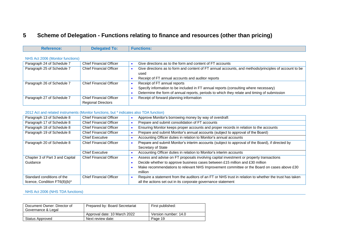## **5 Scheme of Delegation - Functions relating to finance and resources (other than pricing)**

| n.       | ---       | <b>Hions:</b> |
|----------|-----------|---------------|
| ference: | Nalanstad | ---------     |
|          |           |               |

| Paragraph 24 of Schedule 7 | <b>Chief Financial Officer</b> | Give directions as to the form and content of FT accounts                                             |
|----------------------------|--------------------------------|-------------------------------------------------------------------------------------------------------|
| Paragraph 25 of Schedule 7 | <b>Chief Financial Officer</b> | Give directions as to form and content of FT annual accounts, and methods/principles of account to be |
|                            |                                | used                                                                                                  |
|                            |                                | Receipt of FT annual accounts and auditor reports                                                     |
| Paragraph 26 of Schedule 7 | <b>Chief Financial Officer</b> | Receipt of FT annual reports                                                                          |
|                            |                                | Specify information to be included in FT annual reports (consulting where necessary)                  |
|                            |                                | Determine the form of annual reports, periods to which they relate and timing of submission           |
| Paragraph 27 of Schedule 7 | <b>Chief Financial Officer</b> | Receipt of forward planning information                                                               |
|                            | <b>Regional Directors</b>      |                                                                                                       |

#### NHS Act 2006 (Monitor functions)

Г

#### 2012 Act and related instruments (Monitor functions, but \* indicates also TDA function)

<span id="page-18-0"></span>

| Paragraph 13 of Schedule 8      | <b>Chief Financial Officer</b> | Approve Monitor's borrowing money by way of overdraft                                                  |
|---------------------------------|--------------------------------|--------------------------------------------------------------------------------------------------------|
| Paragraph 17 of Schedule 8      | <b>Chief Financial Officer</b> | Prepare and submit consolidation of FT accounts                                                        |
| Paragraph 18 of Schedule 8      | <b>Chief Financial Officer</b> | Ensuring Monitor keeps proper accounts and proper records in relation to the accounts                  |
| Paragraph 19 of Schedule 8      | <b>Chief Financial Officer</b> | Prepare and submit Monitor's annual accounts (subject to approval of the Board)                        |
|                                 | <b>Chief Executive</b>         | Accounting Officer duties in relation to Monitor's annual accounts                                     |
| Paragraph 20 of Schedule 8      | <b>Chief Financial Officer</b> | Prepare and submit Monitor's interim accounts (subject to approval of the Board), if directed by       |
|                                 |                                | Secretary of State                                                                                     |
|                                 | <b>Chief Executive</b>         | Accounting Officer duties in relation to Monitor's interim accounts                                    |
| Chapter 3 of Part 3 and Capital | <b>Chief Financial Officer</b> | Assess and advise on FT proposals involving capital investment or property transactions                |
| Guidance                        |                                | Decide whether to approve business cases between £15 million and £30 million                           |
|                                 |                                | Make recommendations to relevant NHS Improvement committee or the Board on cases above £30<br>million  |
| Standard conditions of the      | <b>Chief Financial Officer</b> | Require a statement from the auditors of an FT or NHS trust in relation to whether the trust has taken |
| licence, Condition FT6(8)(b)*   |                                | all the actions set out in its corporate governance statement                                          |

#### NHS Act 2006 (NHS TDA functions)

| Document Owner: Director of<br>Governance & Legal | Prepared by: Board Secretariat | First published:     |
|---------------------------------------------------|--------------------------------|----------------------|
|                                                   | Approval date: 10 March 2022   | Version number: 14.0 |
| Status Approved                                   | Next review date:              | Page 19              |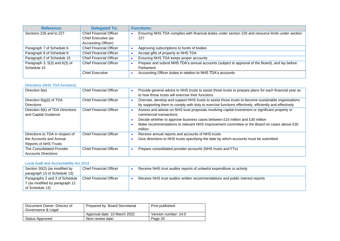| <b>Reference:</b>                 | <b>Delegated To:</b>           | <b>Functions:</b>                                                                                   |
|-----------------------------------|--------------------------------|-----------------------------------------------------------------------------------------------------|
| Sections 226 and to 227           | <b>Chief Financial Officer</b> | Ensuring NHS TDA complies with financial duties under section 226 and resource limits under section |
|                                   | Chief Executive (as            | 227                                                                                                 |
|                                   | Accounting Officer)            |                                                                                                     |
| Paragraph 7 of Schedule 6         | <b>Chief Financial Officer</b> | Approving subscriptions to funds of bodies                                                          |
| Paragraph 8 of Schedule 6         | <b>Chief Financial Officer</b> | Accept gifts of property to NHS TDA                                                                 |
| Paragraph 2 of Schedule 15        | <b>Chief Financial Officer</b> | Ensuring NHS TDA keeps proper accounts                                                              |
| Paragraph 3, $5(3)$ and $6(3)$ of | <b>Chief Financial Officer</b> | Prepare and submit NHS TDA's annual accounts (subject to approval of the Board), and lay before     |
| Schedule 15                       |                                | Parliament                                                                                          |
|                                   | <b>Chief Executive</b>         | Accounting Officer duties in relation to NHS TDA's accounts                                         |

#### Directions (NHS TDA functions)

| Direction 6(e)                                                                             | <b>Chief Financial Officer</b> | Provide general advice to NHS trusts to assist those trusts to prepare plans for each financial year as<br>to how those trusts will exercise their functions                                                                                                                                                         |
|--------------------------------------------------------------------------------------------|--------------------------------|----------------------------------------------------------------------------------------------------------------------------------------------------------------------------------------------------------------------------------------------------------------------------------------------------------------------|
| Direction $6(g)(i)$ of TDA<br><b>Directions</b>                                            | <b>Chief Financial Officer</b> | Oversee, develop and support NHS trusts to assist those trusts to become sustainable organisations<br>by supporting them to comply with duty to exercise functions effectively, efficiently and effectively                                                                                                          |
| Direction 6(k) of TDA Directions<br>and Capital Guidance                                   | <b>Chief Financial Officer</b> | Assess and advise on NHS trust proposals involving capital investment or significant property or<br>commercial transactions<br>Decide whether to approve business cases between £15 million and £30 million<br>Make recommendations to relevant NHS Improvement committee or the Board on cases above £30<br>million |
| Directions to TDA in respect of<br>the Accounts and Annual<br><b>Reports of NHS Trusts</b> | <b>Chief Financial Officer</b> | Receive annual reports and accounts of NHS trusts<br>Give directions to NHS trusts specifying the date by which accounts must be submitted                                                                                                                                                                           |
| The Consolidated Provider<br><b>Accounts Directions</b>                                    | <b>Chief Financial Officer</b> | Prepare consolidated provider accounts (NHS trusts and FTs)                                                                                                                                                                                                                                                          |

#### Local Audit and Accountability Act 2014

| Section 30(2) (as modified by          | <b>Chief Financial Officer</b> | Receive NHS trust auditor reports of unlawful expenditure or activity         |
|----------------------------------------|--------------------------------|-------------------------------------------------------------------------------|
| paragraph 13 of Schedule 13)           |                                |                                                                               |
| Paragraphs 2 and 3 of Schedule $\vert$ | <b>Chief Financial Officer</b> | Receive NHS trust auditor written recommendations and public interest reports |
| 7 (as modified by paragraph 12         |                                |                                                                               |
| of Schedule 13)                        |                                |                                                                               |

| Document Owner: Director of<br>Governance & Legal | Prepared by: Board Secretariat | First published:     |
|---------------------------------------------------|--------------------------------|----------------------|
|                                                   | Approval date: 10 March 2022   | Version number: 14.0 |
| Status Approved                                   | Next review date:              | Page 20              |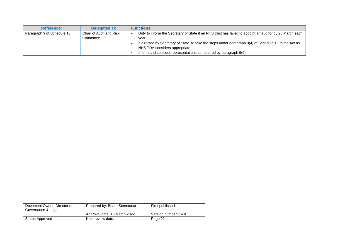| <b>Reference:</b>          | <b>Delegated To:</b>                 | <b>Functions:</b>                                                                                                                       |
|----------------------------|--------------------------------------|-----------------------------------------------------------------------------------------------------------------------------------------|
| Paragraph 9 of Schedule 13 | Chair of Audit and Risk<br>Committee | Duty to inform the Secretary of State if an NHS trust has failed to appoint an auditor by 25 March each<br>vear                         |
|                            |                                      | If directed by Secretary of State, to take the steps under paragraph 9(4) of Schedule 13 to the Act as<br>NHS TDA considers appropriate |
|                            |                                      | Inform and consider representations as required by paragraph 9(6)                                                                       |

| Document Owner: Director of<br>Governance & Legal | Prepared by: Board Secretariat | First published:     |
|---------------------------------------------------|--------------------------------|----------------------|
|                                                   | Approval date: 10 March 2022   | Version number: 14.0 |
| Status Approved                                   | Next review date:              | Page 21              |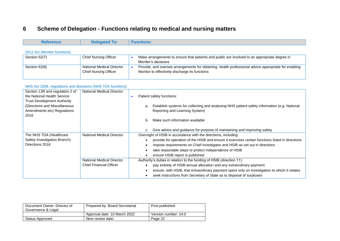# **6 Scheme of Delegation - Functions relating to medical and nursing matters**

| <b>Reference:</b>                                                                                                                                                            | <b>Delegated To:</b>                                                                                   | <b>Functions:</b>                                                                                                                                                                                                                                                                                                                                                                                                                                                                                                                                                                                                                                                                                                |
|------------------------------------------------------------------------------------------------------------------------------------------------------------------------------|--------------------------------------------------------------------------------------------------------|------------------------------------------------------------------------------------------------------------------------------------------------------------------------------------------------------------------------------------------------------------------------------------------------------------------------------------------------------------------------------------------------------------------------------------------------------------------------------------------------------------------------------------------------------------------------------------------------------------------------------------------------------------------------------------------------------------------|
|                                                                                                                                                                              |                                                                                                        |                                                                                                                                                                                                                                                                                                                                                                                                                                                                                                                                                                                                                                                                                                                  |
| 2012 Act (Monitor functions)<br>Section 62(7)                                                                                                                                | <b>Chief Nursing Officer</b>                                                                           | Make arrangements to ensure that patients and public are involved to an appropriate degree in<br>$\bullet$<br>Monitor's decisions                                                                                                                                                                                                                                                                                                                                                                                                                                                                                                                                                                                |
| Section 62(8)                                                                                                                                                                | National Medical Director<br><b>Chief Nursing Officer</b>                                              | Provide, and oversee arrangements for obtaining, health professional advice appropriate for enabling<br>$\bullet$<br>Monitor to effectively discharge its functions                                                                                                                                                                                                                                                                                                                                                                                                                                                                                                                                              |
| NHS Act 2006, regulations and directions (NHS TDA functions)                                                                                                                 |                                                                                                        |                                                                                                                                                                                                                                                                                                                                                                                                                                                                                                                                                                                                                                                                                                                  |
| Section 13R and regulation 2 of<br>the National Health Service<br><b>Trust Development Authority</b><br>(Directions and Miscellaneous<br>Amendments etc) Regulations<br>2016 | <b>National Medical Director</b>                                                                       | Patient safety functions:<br>$\bullet$<br>Establish systems for collecting and analysing NHS patient safety information (e.g. National<br>a.<br>Reporting and Learning System)<br>Make such information available<br>b.<br>Give advice and guidance for purpose of maintaining and improving safety<br>C.                                                                                                                                                                                                                                                                                                                                                                                                        |
| The NHS TDA (Healthcare<br>Safety Investigation Branch)<br>Directions 2016                                                                                                   | <b>National Medical Director</b><br><b>National Medical Director</b><br><b>Chief Financial Officer</b> | Oversight of HSIB in accordance with the directions, including:<br>provide for operation of the HSIB and ensure it exercises certain functions listed in directions<br>impose requirements on Chief Investigator and HSIB as set out in directions<br>take reasonable steps to protect independence of HSIB<br>$\bullet$<br>ensure HSIB report is published<br>$\bullet$<br>Authority's duties in relation to the funding of HSIB (direction 11):<br>pay entirety of HSIB annual allocation and any extraordinary payment<br>$\bullet$<br>ensure, with HSIB, that extraordinary payment spent only on investigation to which it relates<br>seek instructions from Secretary of State as to disposal of surpluses |

<span id="page-21-0"></span>

| Document Owner: Director of<br>Governance & Legal | Prepared by: Board Secretariat | First published:     |
|---------------------------------------------------|--------------------------------|----------------------|
|                                                   | Approval date: 10 March 2022   | Version number: 14.0 |
| Status Approved                                   | Next review date:              | Page 22              |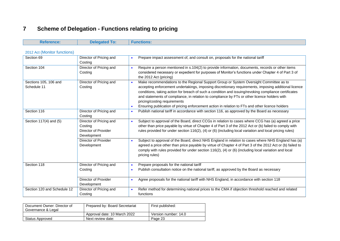# **7 Scheme of Delegation - Functions relating to pricing**

| <b>Reference:</b>                    | <b>Delegated To:</b>                                                      | <b>Functions:</b>                                                                                                                                                                                                                                                                                                                                                                                                                                                                                                                                       |
|--------------------------------------|---------------------------------------------------------------------------|---------------------------------------------------------------------------------------------------------------------------------------------------------------------------------------------------------------------------------------------------------------------------------------------------------------------------------------------------------------------------------------------------------------------------------------------------------------------------------------------------------------------------------------------------------|
| 2012 Act (Monitor functions)         |                                                                           |                                                                                                                                                                                                                                                                                                                                                                                                                                                                                                                                                         |
| Section 69                           | Director of Pricing and<br>Costing                                        | Prepare impact assessment of, and consult on, proposals for the national tariff<br>$\bullet$                                                                                                                                                                                                                                                                                                                                                                                                                                                            |
| Section 104                          | Director of Pricing and<br>Costing                                        | Require a person mentioned in s.104(2) to provide information, documents, records or other items<br>$\bullet$<br>considered necessary or expedient for purposes of Monitor's functions under Chapter 4 of Part 3 of<br>the 2012 Act (pricing)                                                                                                                                                                                                                                                                                                           |
| Sections 105, 106 and<br>Schedule 11 | Director of Pricing and<br>Costing                                        | Make recommendations to the Regional Support Group or System Oversight Committee as to<br>$\bullet$<br>accepting enforcement undertakings, imposing discretionary requirements, imposing additional licence<br>conditions, taking action for breach of such a condition and issuing/revoking compliance certificates<br>and statements of compliance, in relation to compliance by FTs or other licence holders with<br>pricing/costing requirements<br>Ensuring publication of pricing enforcement action in relation to FTs and other licence holders |
| Section 116                          | Director of Pricing and<br>Costing                                        | Publish national tariff in accordance with section 116, as approved by the Board as necessary<br>$\bullet$                                                                                                                                                                                                                                                                                                                                                                                                                                              |
| Section 117(4) and (5)               | Director of Pricing and<br>Costing<br>Director of Provider<br>Development | Subject to approval of the Board, direct CCGs in relation to cases where CCG has (a) agreed a price<br>$\bullet$<br>other than price payable by virtue of Chapter 4 of Part 3 of the 2012 Act or (b) failed to comply with<br>rules provided for under section 116(2), (4) or (6) (including local variation and local pricing rules)                                                                                                                                                                                                                   |
|                                      | Director of Provider<br>Development                                       | Subject to approval of the Board, direct NHS England in relation to cases where NHS England has (a)<br>$\bullet$<br>agreed a price other than price payable by virtue of Chapter 4 of Part 3 of the 2012 Act or (b) failed to<br>comply with rules provided for under section 116(2), (4) or (6) (including local variation and local<br>pricing rules)                                                                                                                                                                                                 |
| Section 118                          | Director of Pricing and<br>Costing                                        | Prepare proposals for the national tariff<br>$\bullet$<br>Publish consultation notice on the national tariff, as approved by the Board as necessary<br>$\bullet$                                                                                                                                                                                                                                                                                                                                                                                        |
|                                      | <b>Director of Provider</b><br>Development                                | Agree proposals for the national tariff with NHS England, in accordance with section 118<br>$\bullet$                                                                                                                                                                                                                                                                                                                                                                                                                                                   |
| Section 120 and Schedule 12          | Director of Pricing and<br>Costing                                        | Refer method for determining national prices to the CMA if objection threshold reached and related<br>$\bullet$<br>functions                                                                                                                                                                                                                                                                                                                                                                                                                            |

<span id="page-22-0"></span>

| Document Owner: Director of<br>Governance & Legal | Prepared by: Board Secretariat | First published:     |
|---------------------------------------------------|--------------------------------|----------------------|
|                                                   | Approval date: 10 March 2022   | Version number: 14.0 |
| Status Approved                                   | Next review date:              | Page 23              |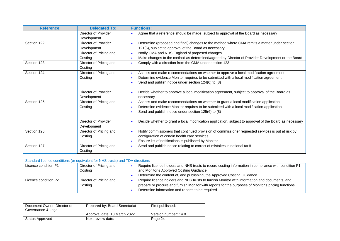| <b>Reference:</b> | <b>Delegated To:</b>        | <b>Functions:</b>                                                                                                    |
|-------------------|-----------------------------|----------------------------------------------------------------------------------------------------------------------|
|                   | Director of Provider        | Agree that a reference should be made, subject to approval of the Board as necessary                                 |
|                   | Development                 |                                                                                                                      |
| Section 122       | Director of Provider        | Determine (proposed and final) changes to the method where CMA remits a matter under section                         |
|                   | Development                 | 121(6), subject to approval of the Board as necessary                                                                |
|                   | Director of Pricing and     | Notify CMA and NHS England of proposed changes<br>$\bullet$                                                          |
|                   | Costing                     | Make changes to the method as determined/agreed by Director of Provider Development or the Board                     |
| Section 123       | Director of Pricing and     | Comply with a direction from the CMA under section 123                                                               |
|                   | Costing                     |                                                                                                                      |
| Section 124       | Director of Pricing and     | Assess and make recommendations on whether to approve a local modification agreement<br>$\bullet$                    |
|                   | Costing                     | Determine evidence Monitor requires to be submitted with a local modification agreement                              |
|                   |                             | Send and publish notice under section 124(6) to (8)<br>$\bullet$                                                     |
|                   |                             |                                                                                                                      |
|                   | Director of Provider        | Decide whether to approve a local modification agreement, subject to approval of the Board as<br>$\bullet$           |
|                   | Development                 | necessary                                                                                                            |
| Section 125       | Director of Pricing and     | Assess and make recommendations on whether to grant a local modification application<br>$\bullet$                    |
|                   | Costing                     | Determine evidence Monitor requires to be submitted with a local modification application                            |
|                   |                             | Send and publish notice under section 125(6) to (8)                                                                  |
|                   |                             |                                                                                                                      |
|                   | <b>Director of Provider</b> | Decide whether to grant a local modification application, subject to approval of the Board as necessary<br>$\bullet$ |
|                   | Development                 |                                                                                                                      |
| Section 126       | Director of Pricing and     | Notify commissioners that continued provision of commissioner requested services is put at risk by                   |
|                   | Costing                     | configuration of certain health care services                                                                        |
|                   |                             | Ensure list of notifications is published by Monitor<br>$\bullet$                                                    |
| Section 127       | Director of Pricing and     | Send and publish notice relating to correct of mistakes in national tariff<br>$\bullet$                              |
|                   | Costing                     |                                                                                                                      |

#### Standard licence conditions (or equivalent for NHS trusts) and TDA directions

| Licence condition P1 | Director of Pricing and | Require licence holders and NHS trusts to record costing information in compliance with condition P1 |
|----------------------|-------------------------|------------------------------------------------------------------------------------------------------|
|                      | Costing                 | and Monitor's Approved Costing Guidance                                                              |
|                      |                         | Determine the content of, and publishing, the Approved Costing Guidance                              |
| Licence condition P2 | Director of Pricing and | Require licence holders and NHS trusts to furnish Monitor with information and documents, and        |
|                      | Costing                 | prepare or procure and furnish Monitor with reports for the purposes of Monitor's pricing functions  |
|                      |                         | Determine information and reports to be required                                                     |

| Document Owner: Director of<br>Governance & Legal | Prepared by: Board Secretariat | First published:     |
|---------------------------------------------------|--------------------------------|----------------------|
|                                                   | Approval date: 10 March 2022   | Version number: 14.0 |
| Status Approved                                   | Next review date:              | Page 24              |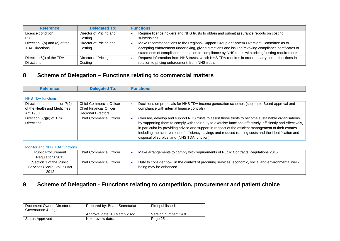| <b>Reference:</b>                 | <b>Delegated To:</b>    | <b>Functions:</b>                                                                                    |
|-----------------------------------|-------------------------|------------------------------------------------------------------------------------------------------|
| Licence condition                 | Director of Pricing and | Require licence holders and NHS trusts to obtain and submit assurance reports on costing             |
| P3                                | Costing                 | submissions                                                                                          |
| Direction $6(a)$ and $(c)$ of the | Director of Pricing and | Make recommendations to the Regional Support Group or System Oversight Committee as to               |
| <b>TDA Directions</b>             | Costing                 | accepting enforcement undertaking, giving directions and issuing/revoking compliance certificates or |
|                                   |                         | statements of compliance, in relation to compliance by NHS trusts with pricing/costing requirements  |
| Direction 6(I) of the TDA         | Director of Pricing and | Request information from NHS trusts, which NHS TDA requires in order to carry out its functions in   |
| <b>Directions</b>                 | Costing                 | relation to pricing enforcement, from NHS trusts                                                     |

## **8 Scheme of Delegation – Functions relating to commercial matters**

| <b>Reference:</b>             | <b>Delegated To:</b>            | <b>Functions:</b>                                                                                            |
|-------------------------------|---------------------------------|--------------------------------------------------------------------------------------------------------------|
| <b>NHS TDA functions</b>      |                                 |                                                                                                              |
| Directions under section 7(2) | <b>Chief Commercial Officer</b> | Decisions on proposals for NHS TDA income generation schemes (subject to Board approval and                  |
| of the Health and Medicines   | <b>Chief Financial Officer</b>  | compliance with internal finance controls)                                                                   |
| Act 1988                      | <b>Regional Directors</b>       |                                                                                                              |
| Direction 6(g)(i) of TDA      | <b>Chief Commercial Officer</b> | Oversee, develop and support NHS trusts to assist those trusts to become sustainable organisations           |
| <b>Directions</b>             |                                 | by supporting them to comply with their duty to exercise functions effectively, efficiently and effectively, |
|                               |                                 | in particular by providing advice and support in respect of the efficient management of their estates        |
|                               |                                 | including the achievement of efficiency savings and reduced running costs and the identification and         |
|                               |                                 | disposal of surplus land (NHS TDA function)                                                                  |

#### Monitor and NHS TDA functions

| <b>Public Procurement</b>   | <b>Chief Commercial Officer</b> | Make arrangements to comply with requirements of Public Contracts Regulations 2015                   |
|-----------------------------|---------------------------------|------------------------------------------------------------------------------------------------------|
| Regulations 2015            |                                 |                                                                                                      |
| Section 1 of the Public     | Chief Commercial Officer        | Duty to consider how, in the context of procuring services, economic, social and environmental well- |
| Services (Social Value) Act |                                 | being may be enhanced                                                                                |
| 2012                        |                                 |                                                                                                      |

## <span id="page-24-0"></span>**9 Scheme of Delegation - Functions relating to competition, procurement and patient choice**

<span id="page-24-1"></span>

| Document Owner: Director of<br>Governance & Legal | Prepared by: Board Secretariat | First published:     |
|---------------------------------------------------|--------------------------------|----------------------|
|                                                   | Approval date: 10 March 2022   | Version number: 14.0 |
| Status Approved                                   | Next review date:              | Page 25              |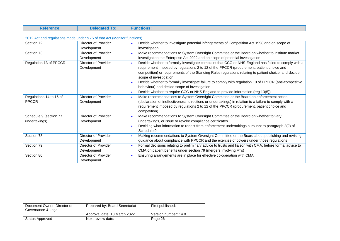| <b>Reference:</b> | <b>Delegated To:</b> | <b>Functions:</b> |
|-------------------|----------------------|-------------------|

#### 2012 Act and regulations made under s.75 of that Act (Monitor functions)

| Section 72              | Director of Provider        | Decide whether to investigate potential infringements of Competition Act 1998 and on scope of           |
|-------------------------|-----------------------------|---------------------------------------------------------------------------------------------------------|
|                         | Development                 | investigation                                                                                           |
| Section 73              | Director of Provider        | Make recommendations to System Oversight Committee or the Board on whether to institute market          |
|                         | Development                 | investigation the Enterprise Act 2002 and on scope of potential investigation                           |
| Regulation 13 of PPCCR  | Director of Provider        | Decide whether to formally investigate complaint that CCG or NHS England has failed to comply with a    |
|                         | Development                 | requirement imposed by regulations 2 to 12 of the PPCCR (procurement, patient choice and                |
|                         |                             | competition) or requirements of the Standing Rules regulations relating to patient choice, and decide   |
|                         |                             | scope of investigation                                                                                  |
|                         |                             | Decide whether to formally investigate failure to comply with regulation 10 of PPCCR (anti-competitive  |
|                         |                             | behaviour) and decide scope of investigation                                                            |
|                         |                             | Decide whether to require CCG or NHS England to provide information (reg 13(5))                         |
| Regulations 14 to 16 of | Director of Provider        | Make recommendations to System Oversight Committee or the Board on enforcement action                   |
| <b>PPCCR</b>            | Development                 | (declaration of ineffectiveness, directions or undertakings) in relation to a failure to comply with a  |
|                         |                             | requirement imposed by regulations 2 to 12 of the PPCCR (procurement, patient choice and                |
|                         |                             | competition)                                                                                            |
| Schedule 9 (section 77  | Director of Provider        | Make recommendations to System Oversight Committee or the Board on whether to vary                      |
| undertakings)           | Development                 | undertakings, or issue or revoke compliance certificates                                                |
|                         |                             | Deciding what information to redact from enforcement undertakings pursuant to paragraph 2(2) of         |
|                         |                             | Schedule 9                                                                                              |
| Section 78              | <b>Director of Provider</b> | Making recommendations to System Oversight Committee or the Board about publishing and revising         |
|                         | Development                 | guidance about compliance with PPCCR and the exercise of powers under those regulations                 |
| Section 79              | Director of Provider        | Formal decisions relating to preliminary advice to trusts and liaison with CMA, before formal advice to |
|                         | Development                 | CMA on patient benefits under section 79 (mergers involving FTs)                                        |
| Section 80              | Director of Provider        | Ensuring arrangements are in place for effective co-operation with CMA                                  |
|                         | Development                 |                                                                                                         |

| Document Owner: Director of<br>Governance & Legal | Prepared by: Board Secretariat | First published:     |
|---------------------------------------------------|--------------------------------|----------------------|
|                                                   | Approval date: 10 March 2022   | Version number: 14.0 |
| Status Approved                                   | Next review date:              | Page 26              |